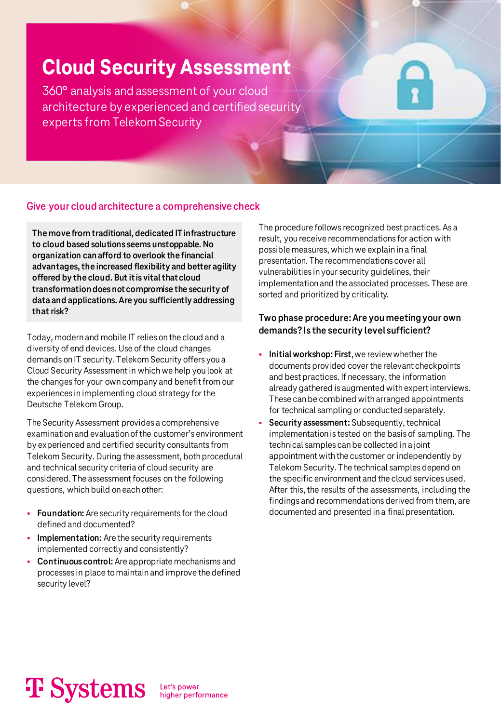# **Cloud Security Assessment**

360° analysis and assessment of your cloud architecture by experienced and certified security experts from Telekom Security

# **Give your cloud architecture a comprehensive check**

**The move from traditional, dedicated IT infrastructure to cloud based solutions seems unstoppable. No organization can afford to overlook the financial advantages, the increased flexibility and better agility offered by the cloud. But it is vital that cloud transformation does not compromise the security of data and applications. Are you sufficiently addressing that risk?**

Today, modern and mobile IT relies on the cloud and a diversity of end devices. Use of the cloud changes demands on IT security. Telekom Security offers you a Cloud Security Assessment in which we help you look at the changes for your own company and benefit from our experiences in implementing cloud strategy for the Deutsche Telekom Group.

The Security Assessment provides a comprehensive examination and evaluation of the customer's environment by experienced and certified security consultants from Telekom Security. During the assessment, both procedural and technical security criteria of cloud security are considered. The assessment focuses on the following questions, which build on each other:

- **Foundation:** Are security requirements for the cloud defined and documented?
- **Implementation:** Are the security requirements implemented correctly and consistently?
- **Continuous control:** Are appropriate mechanisms and processes in place to maintain and improve the defined security level?

The procedure follows recognized best practices. As a result, you receive recommendations for action with possible measures, which we explain in a final presentation. The recommendations cover all vulnerabilities in your security guidelines, their implementation and the associated processes. These are sorted and prioritized by criticality.

# **Two phase procedure: Are you meeting your own demands? Is the security level sufficient?**

- **Initial workshop: First, we review whether the** documents provided cover the relevant checkpoints and best practices. If necessary, the information already gathered is augmented with expert interviews. These can be combined with arranged appointments for technical sampling or conducted separately.
- **Security assessment:** Subsequently, technical implementation is tested on the basis of sampling. The technical samples can be collected in a joint appointment with the customer or independently by Telekom Security. The technical samples depend on the specific environment and the cloud services used. After this, the results of the assessments, including the findings and recommendations derived from them, are documented and presented in a final presentation.

# **T** Systems